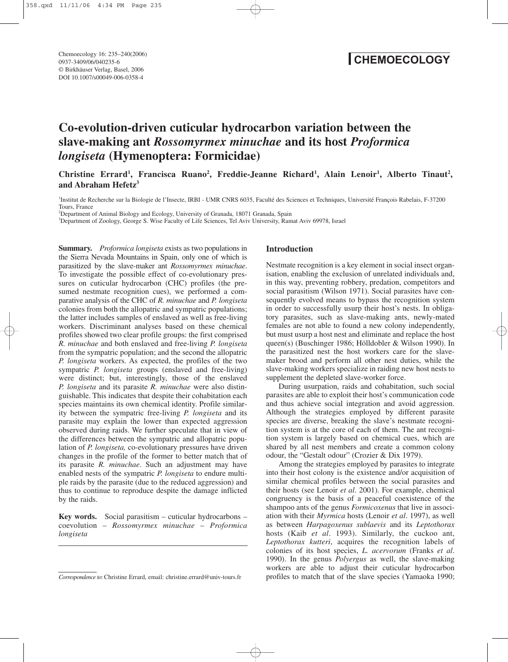Chemoecology 16: 235–240(2006) 0937-3409/06/040235-6 © Birkhäuser Verlag, Basel, 2006 DOI 10.1007/s00049-006-0358-4

# **CHEMOECOLOGY**

# **Co-evolution-driven cuticular hydrocarbon variation between the slave-making ant** *Rossomyrmex minuchae* **and its host** *Proformica longiseta* **(Hymenoptera: Formicidae)**

Christine Errard<sup>1</sup>, Francisca Ruano<sup>2</sup>, Freddie-Jeanne Richard<sup>1</sup>, Alain Lenoir<sup>1</sup>, Alberto Tinaut<sup>2</sup>, **and Abraham Hefetz3**

1 Institut de Recherche sur la Biologie de l'Insecte, IRBI - UMR CNRS 6035, Faculté des Sciences et Techniques, Université François Rabelais, F-37200 Tours, France

2 Department of Animal Biology and Ecology, University of Granada, 18071 Granada, Spain

3 Department of Zoology, George S. Wise Faculty of Life Sciences, Tel Aviv University, Ramat Aviv 69978, Israel

**Summary.** *Proformica longiseta* exists as two populations in the Sierra Nevada Mountains in Spain, only one of which is parasitized by the slave-maker ant *Rossomyrmex minuchae*. To investigate the possible effect of co-evolutionary pressures on cuticular hydrocarbon (CHC) profiles (the presumed nestmate recognition cues), we performed a comparative analysis of the CHC of *R. minuchae* and *P. longiseta* colonies from both the allopatric and sympatric populations; the latter includes samples of enslaved as well as free-living workers. Discriminant analyses based on these chemical profiles showed two clear profile groups: the first comprised *R. minuchae* and both enslaved and free-living *P. longiseta* from the sympatric population; and the second the allopatric *P. longiseta* workers. As expected, the profiles of the two sympatric *P. longiseta* groups (enslaved and free-living) were distinct; but, interestingly, those of the enslaved *P. longiseta* and its parasite *R. minuchae* were also distinguishable. This indicates that despite their cohabitation each species maintains its own chemical identity. Profile similarity between the sympatric free-living *P. longiseta* and its parasite may explain the lower than expected aggression observed during raids. We further speculate that in view of the differences between the sympatric and allopatric population of *P. longiseta,* co-evolutionary pressures have driven changes in the profile of the former to better match that of its parasite *R. minuchae*. Such an adjustment may have enabled nests of the sympatric *P. longiseta* to endure multiple raids by the parasite (due to the reduced aggression) and thus to continue to reproduce despite the damage inflicted by the raids.

**Key words.** Social parasitism – cuticular hydrocarbons – coevolution – *Rossomyrmex minuchae* – *Proformica longiseta*

#### **Introduction**

Nestmate recognition is a key element in social insect organisation, enabling the exclusion of unrelated individuals and, in this way, preventing robbery, predation, competitors and social parasitism (Wilson 1971). Social parasites have consequently evolved means to bypass the recognition system in order to successfully usurp their host's nests. In obligatory parasites, such as slave-making ants, newly-mated females are not able to found a new colony independently, but must usurp a host nest and eliminate and replace the host queen(s) (Buschinger 1986; Hölldobler & Wilson 1990). In the parasitized nest the host workers care for the slavemaker brood and perform all other nest duties, while the slave-making workers specialize in raiding new host nests to supplement the depleted slave-worker force.

During usurpation, raids and cohabitation, such social parasites are able to exploit their host's communication code and thus achieve social integration and avoid aggression. Although the strategies employed by different parasite species are diverse, breaking the slave's nestmate recognition system is at the core of each of them. The ant recognition system is largely based on chemical cues, which are shared by all nest members and create a common colony odour, the "Gestalt odour" (Crozier & Dix 1979).

Among the strategies employed by parasites to integrate into their host colony is the existence and/or acquisition of similar chemical profiles between the social parasites and their hosts (see Lenoir *et al*. 2001). For example, chemical congruency is the basis of a peaceful coexistence of the shampoo ants of the genus *Formicoxenus* that live in association with their *Myrmica* hosts (Lenoir *et al*. 1997), as well as between *Harpagoxenus sublaevis* and its *Leptothorax* hosts (Kaib *et al*. 1993). Similarly, the cuckoo ant, *Leptothorax kutteri*, acquires the recognition labels of colonies of its host species, *L. acervorum* (Franks *et al*. 1990). In the genus *Polyergus* as well, the slave-making workers are able to adjust their cuticular hydrocarbon *Correspondence to*: Christine Errard, email: christine.errard@univ-tours.fr profiles to match that of the slave species (Yamaoka 1990;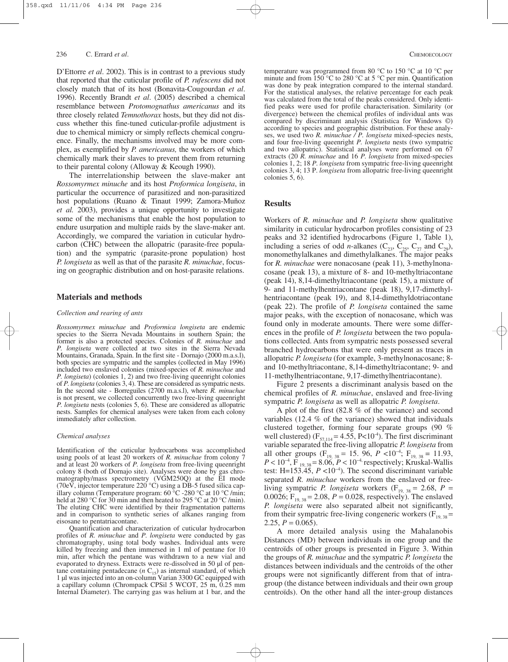# 236 C. Errard *et al.* CHEMOECOLOGY

D'Ettorre *et al*. 2002). This is in contrast to a previous study that reported that the cuticular profile of *P. rufescens* did not closely match that of its host (Bonavita-Cougourdan *et al*. 1996). Recently Brandt *et al*. (2005) described a chemical resemblance between *Protomognathus americanus* and its three closely related *Temnothorax* hosts, but they did not discuss whether this fine-tuned cuticular-profile adjustment is due to chemical mimicry or simply reflects chemical congruence. Finally, the mechanisms involved may be more complex, as exemplified by *P. americanus,* the workers of which chemically mark their slaves to prevent them from returning to their parental colony (Alloway & Keough 1990).

The interrelationship between the slave-maker ant *Rossomyrmex minuche* and its host *Proformica longiseta*, in particular the occurrence of parasitized and non-parasitized host populations (Ruano & Tinaut 1999; Zamora-Muñoz *et al.* 2003), provides a unique opportunity to investigate some of the mechanisms that enable the host population to endure usurpation and multiple raids by the slave-maker ant. Accordingly, we compared the variation in cuticular hydrocarbon (CHC) between the allopatric (parasite-free population) and the sympatric (parasite-prone population) host *P. longiseta* as well as that of the parasite *R. minuchae*, focusing on geographic distribution and on host-parasite relations.

#### **Materials and methods**

## *Collection and rearing of ants*

*Rossomyrmex minuchae* and *Proformica longiseta* are endemic species to the Sierra Nevada Mountains in southern Spain; the former is also a protected species. Colonies of *R. minuchae* and *P. longiseta* were collected at two sites in the Sierra Nevada Mountains, Granada, Spain. In the first site - Dornajo (2000 m.a.s.l), both species are sympatric and the samples (collected in May 1996) included two enslaved colonies (mixed-species of *R. minuchae* and *P. longiseta*) (colonies 1, 2) and two free-living queenright colonies of *P. longiseta* (colonies 3, 4). These are considered as sympatric nests. In the second site - Borreguiles (2700 m.a.s.l), where *R. minuchae* is not present, we collected concurrently two free-living queenright *P. longiseta* nests (colonies 5, 6). These are considered as allopatric nests. Samples for chemical analyses were taken from each colony immediately after collection.

#### *Chemical analyses*

Identification of the cuticular hydrocarbons was accomplished using pools of at least 20 workers of *R. minuchae* from colony 7 and at least 20 workers of *P. longiseta* from free-living queenright colony 8 (both of Dornajo site). Analyses were done by gas chromatography/mass spectrometry (VGM250Q) at the EI mode (70eV, injector temperature 220 °C) using a DB-5 fused silica capillary column (Temperature program: 60 °C -280 °C at 10 °C /min; held at 280 °C for 30 min and then heated to 295 °C at 20 °C /min). The eluting CHC were identified by their fragmentation patterns and in comparison to synthetic series of alkanes ranging from eisosane to pentatriacontane.

Quantification and characterization of cuticular hydrocarbon profiles of *R. minuchae* and *P. longiseta* were conducted by gas chromatography, using total body washes. Individual ants were killed by freezing and then immersed in 1 ml of pentane for 10 min, after which the pentane was withdrawn to a new vial and evaporated to dryness. Extracts were re-dissolved in 50 µl of pentane containing pentadecane  $(n C_{15})$  as internal standard, of which 1 µl was injected into an on-column Varian 3300 GC equipped with a capillary column (Chrompack CPSil 5 WCOT,  $25 \text{ m}$ ,  $0.25 \text{ mm}$ ) Internal Diameter). The carrying gas was helium at 1 bar, and the

temperature was programmed from 80 °C to 150 °C at 10 °C per minute and from 150 °C to 280 °C at 5 °C per min. Quantification was done by peak integration compared to the internal standard. For the statistical analyses, the relative percentage for each peak was calculated from the total of the peaks considered. Only identified peaks were used for profile characterisation. Similarity (or divergence) between the chemical profiles of individual ants was compared by discriminant analysis (Statistica for Windows ©) according to species and geographic distribution. For these analyses, we used two *R. minuchae / P. longiseta* mixed-species nests, and four free-living queenright *P. longiseta* nests (two sympatric and two allopatric). Statistical analyses were performed on 67 extracts (20 *R. minuchae* and 16 *P. longiseta* from mixed-species colonies 1, 2; 18 *P. longiseta* from sympatric free-living queenright colonies 3, 4; 13 P. *longiseta* from allopatric free-living queenright colonies 5, 6).

# **Results**

Workers of *R. minuchae* and *P. longiseta* show qualitative similarity in cuticular hydrocarbon profiles consisting of 23 peaks and 32 identified hydrocarbons (Figure 1, Table 1), including a series of odd *n*-alkanes ( $C_{23}$ ,  $C_{25}$ ,  $C_{27}$  and  $C_{29}$ ), monomethylalkanes and dimethylalkanes. The major peaks for *R. minuchae* were nonacosane (peak 11), 3-methylnonacosane (peak 13), a mixture of 8- and 10-methyltriacontane (peak 14), 8,14-dimethyltriacontane (peak 15), a mixture of 9- and 11-methylhentriacontane (peak 18), 9,17-dimethylhentriacontane (peak 19), and 8,14-dimethyldotriacontane (peak 22). The profile of *P. longiseta* contained the same major peaks, with the exception of nonacosane, which was found only in moderate amounts. There were some differences in the profile of *P. longiseta* between the two populations collected. Ants from sympatric nests possessed several branched hydrocarbons that were only present as traces in allopatric *P. longiseta* (for example, 3-methylnonacosane; 8 and 10-methyltriacontane, 8,14-dimethyltriacontane; 9- and 11-methylhentriacontane, 9,17-dimethylhentriacontane).

Figure 2 presents a discriminant analysis based on the chemical profiles of *R. minuchae*, enslaved and free-living sympatric *P. longiseta* as well as allopatric *P. longiseta*.

A plot of the first (82.8 % of the variance) and second variables (12.4 % of the variance) showed that individuals clustered together, forming four separate groups (90 % well clustered)  $(F_{57,114} = 4.55, P<10^{-4})$ . The first discriminant variable separated the free-living allopatric *P. longiseta* from all other groups ( $F_{19, 38} = 15$ , 96,  $P < 10^{-4}$ ;  $F_{19, 38} = 11.93$ ,  $P < 10^{-4}$ , F<sub>19,38</sub> = 8.06,  $P < 10^{-4}$  respectively; Kruskal-Wallis test: H=153.45,  $P \le 10^{-4}$ ). The second discriminant variable separated *R. minuchae* workers from the enslaved or freeliving sympatric *P. longiseta* workers ( $F_{19, 38} = 2.68$ , *P =* 0.0026;  $F_{19, 38} = 2.08$ ,  $P = 0.028$ , respectively). The enslaved *P. longiseta* were also separated albeit not significantly, from their sympatric free-living congeneric workers  $(F_{19, 38} =$ 2.25,  $P = 0.065$ ).

A more detailed analysis using the Mahalanobis Distances (MD) between individuals in one group and the centroïds of other groups is presented in Figure 3. Within the groups of *R. minuchae* and the sympatric *P. longiseta* the distances between individuals and the centroïds of the other groups were not significantly different from that of intragroup (the distance between individuals and their own group centroïds). On the other hand all the inter-group distances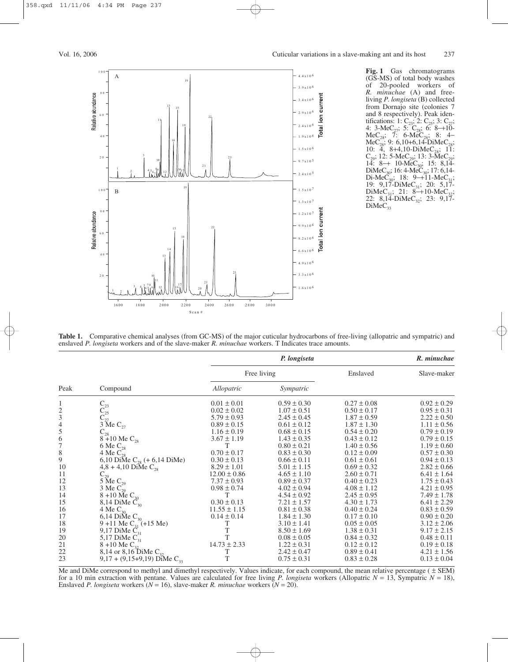

**Fig. 1** Gas chromatograms (GS-MS) of total body washes of 20-pooled workers of *R. minuchae* (A) and freeliving *P. longiseta* (B) collected from Dornajo site (colonies 7 and 8 respectively). Peak identifications: 1:  $C_{23}$ ; 2:  $C_{25}$ ; 3:  $C_{27}$ ; 4: 3-MeC<sub>27</sub>; 5: C<sub>28</sub>; 6: 8–+10- $MeC_{28}$ ; 7: 6-Me $C_{28}$ ; 8: 4– MeC<sub>28</sub>; 9: 6,10+6,14-DiMeC<sub>28</sub>; 10:  $\overline{4}$ , 8+4,10-DiMeC<sub>28</sub>; 11:  $C_{29}$ ; 12: 5-Me $C_{29}$ ; 13: 3-Me $C_{29}$ ;  $14: 8 \rightarrow 10$ -MeC<sub>30</sub>; 15: 8,14-DiMeC<sub>30</sub>; 16: 4-MeC<sub>30</sub>; 17: 6,14-Di-Me $\overline{C}_{30}$ ; 18: 9−+11-Me $\overline{C}_{31}$ ; 19: 9,17-DiMeC<sub>31</sub>; 20: 5,17-DiMeC<sub>31</sub>; 21: 8–+10-MeC<sub>32</sub>;  $22: 8,14$ -DiMeC<sub>32</sub>; 23: 9,17- $DiMeC_{33}$ 

**Table 1.** Comparative chemical analyses (from GC-MS) of the major cuticular hydrocarbons of free-living (allopatric and sympatric) and enslaved *P. longiseta* workers and of the slave-maker *R. minuchae* workers. T Indicates trace amounts.

| Peak          | Compound                                                                                                              | P. longiseta     |                 |                 | R. minuchae     |
|---------------|-----------------------------------------------------------------------------------------------------------------------|------------------|-----------------|-----------------|-----------------|
|               |                                                                                                                       | Free living      |                 | Enslaved        | Slave-maker     |
|               |                                                                                                                       | Allopatric       | Sympatric       |                 |                 |
| 1             |                                                                                                                       | $0.01 \pm 0.01$  | $0.59 \pm 0.30$ | $0.27 \pm 0.08$ | $0.92 \pm 0.29$ |
|               |                                                                                                                       | $0.02 \pm 0.02$  | $1.07 \pm 0.51$ | $0.50 \pm 0.17$ | $0.95 \pm 0.31$ |
| $\frac{2}{3}$ | $\begin{array}{l} \mathbf{C}_{23} \\ \mathbf{C}_{25} \\ \mathbf{C}_{27} \\ 3 \text{ Me } \mathbf{C}_{27} \end{array}$ | $5.79 \pm 0.93$  | $2.45 \pm 0.45$ | $1.87 \pm 0.59$ | $2.22 \pm 0.50$ |
| $\frac{4}{5}$ |                                                                                                                       | $0.89 \pm 0.15$  | $0.61 \pm 0.12$ | $1.87 \pm 1.30$ | $1.11 \pm 0.56$ |
|               | $C_{28}$                                                                                                              | $1.16 \pm 0.19$  | $0.68 \pm 0.15$ | $0.54 \pm 0.20$ | $0.79 \pm 0.19$ |
| $\frac{6}{7}$ | $8 + 10$ Me C <sub>28</sub>                                                                                           | $3.67 \pm 1.19$  | $1.43 \pm 0.35$ | $0.43 \pm 0.12$ | $0.79 \pm 0.15$ |
|               | 6 Me $C_{28}$                                                                                                         | Τ                | $0.80 \pm 0.21$ | $1.40 \pm 0.56$ | $1.19 \pm 0.60$ |
| $\,8\,$       | 4 Me $C_{28}^-$                                                                                                       | $0.70 \pm 0.17$  | $0.83 \pm 0.30$ | $0.12 \pm 0.09$ | $0.57 \pm 0.30$ |
| 9             | 6,10 DiMe $C_{28}$ (+ 6,14 DiMe)                                                                                      | $0.30 \pm 0.13$  | $0.66 \pm 0.11$ | $0.61 \pm 0.61$ | $0.94 \pm 0.13$ |
| 10            | $4,8 + 4,10$ DiMe $C_{28}$                                                                                            | $8.29 \pm 1.01$  | $5.01 \pm 1.15$ | $0.69 \pm 0.32$ | $2.82 \pm 0.66$ |
| 11            | $C_{29}$                                                                                                              | $12.00 \pm 0.86$ | $4.65 \pm 1.10$ | $2.60 \pm 0.71$ | $6.41 \pm 1.64$ |
| 12            | 5 Me $C_{29}$                                                                                                         | $7.37 \pm 0.93$  | $0.89 \pm 0.37$ | $0.40 \pm 0.23$ | $1.75 \pm 0.43$ |
| 13            | 3 Me $C_{29}$                                                                                                         | $0.98 \pm 0.74$  | $4.02 \pm 0.94$ | $4.08 \pm 1.12$ | $4.21 \pm 0.95$ |
| 14            | 8 +10 Me $C_{30}$                                                                                                     | Τ                | $4.54 \pm 0.92$ | $2.45 \pm 0.95$ | $7.49 \pm 1.78$ |
| 15            | 8,14 DiMe $\tilde{C}_{30}$                                                                                            | $0.30 \pm 0.13$  | $7.21 \pm 1.57$ | $4.30 \pm 1.73$ | $6.41 \pm 2.29$ |
| 16            | 4 Me $C_{30}$                                                                                                         | $11.55 \pm 1.15$ | $0.81 \pm 0.38$ | $0.40 \pm 0.24$ | $0.83 \pm 0.59$ |
| 17            | 6,14 DiMe $C_{30}$                                                                                                    | $0.14 \pm 0.14$  | $1.84 \pm 1.30$ | $0.17 \pm 0.10$ | $0.90 \pm 0.20$ |
| 18            | 9 +11 Me $C_{31}$ (+15 Me)                                                                                            | Τ                | $3.10 \pm 1.41$ | $0.05 \pm 0.05$ | $3.12 \pm 2.06$ |
| 19            | 9,17 DiMe $C_{31}$                                                                                                    | T                | $8.50 \pm 1.69$ | $1.38 \pm 0.31$ | $9.17 \pm 2.15$ |
| 20            | 5,17 DiMe $C_{31}$                                                                                                    | T                | $0.08 \pm 0.05$ | $0.84 \pm 0.32$ | $0.48 \pm 0.11$ |
| 21            | $8 + 10$ Me $C_{32}$                                                                                                  | $14.73 \pm 2.33$ | $1.22 \pm 0.31$ | $0.12 \pm 0.12$ | $0.19 \pm 0.18$ |
| 22            | 8,14 or 8,16 DiMe $C_{32}$                                                                                            | Τ                | $2.42 \pm 0.47$ | $0.89 \pm 0.41$ | $4.21 \pm 1.56$ |
| 23            | $9,17 + (9,15+9,19)$ DiMe C <sub>33</sub>                                                                             | T                | $0.75 \pm 0.31$ | $0.83 \pm 0.28$ | $0.13 \pm 0.04$ |

Me and DiMe correspond to methyl and dimethyl respectively. Values indicate, for each compound, the mean relative percentage ( $\pm$  SEM) for a 10 min extraction with pentane. Values are calculated for free living *P. longiseta* workers (Allopatric *N* = 13, Sympatric *N* = 18), Enslaved *P. longiseta* workers  $(N = 16)$ , slave-maker *R. minuchae* workers  $(N = 20)$ .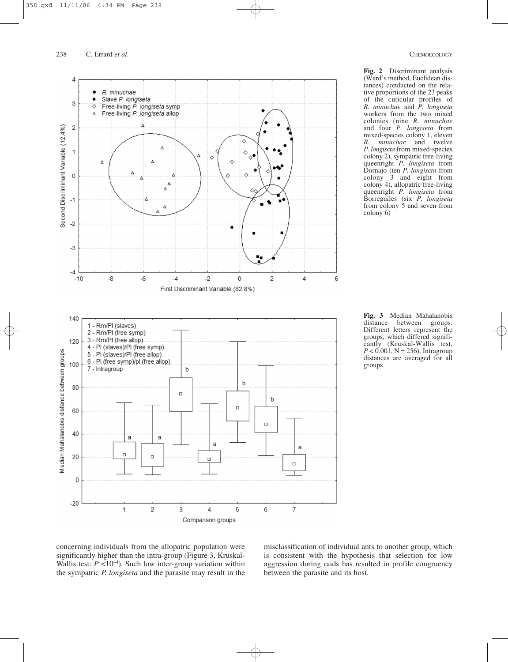238 C. Errard *et al.* CHEMOECOLOGY



**Fig. 2** Discriminant analysis (Ward's method, Euclidean distances) conducted on the relative proportions of the 23 peaks of the cuticular profiles of *R. minuchae* and *P. longiseta* workers from the two mixed colonies (nine *R. minuchae* and four *P. longiseta* from mixed-species colony 1, eleven *R. minuchae* and twelve *P. longiseta* from mixed-species colony 2), sympatric free-living queenright *P. longiseta* from Dornajo (ten *P. longiseta* from colony 3 and eight from colony 4), allopatric free-living queenright *P. longiseta* from Borreguiles (six *P. longiseta* from colony 5 and seven from colony 6)

**Fig. 3** Median Mahalanobis distance between groups. Different letters represent the groups, which differed significantly (Kruskal-Wallis test,  $P < 0.001$ , N = 256). Intragroup distances are averaged for all groups

concerning individuals from the allopatric population were significantly higher than the intra-group (Figure 3, Kruskal-Wallis test:  $P < 10^{-4}$ ). Such low inter-group variation within the sympatric *P. longiseta* and the parasite may result in the misclassification of individual ants to another group, which is consistent with the hypothesis that selection for low aggression during raids has resulted in profile congruency between the parasite and its host.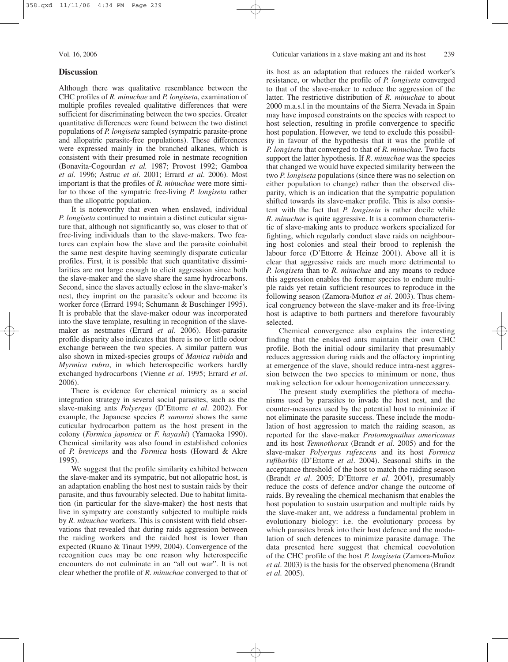### **Discussion**

Although there was qualitative resemblance between the CHC profiles of *R. minuchae* and *P. longiseta*, examination of multiple profiles revealed qualitative differences that were sufficient for discriminating between the two species. Greater quantitative differences were found between the two distinct populations of *P. longiseta* sampled (sympatric parasite-prone and allopatric parasite-free populations). These differences were expressed mainly in the branched alkanes, which is consistent with their presumed role in nestmate recognition (Bonavita-Cogourdan *et al.* 1987; Provost 1992; Gamboa *et al*. 1996; Astruc *et al*. 2001; Errard *et al*. 2006). Most important is that the profiles of *R. minuchae* were more similar to those of the sympatric free-living *P. longiseta* rather than the allopatric population.

It is noteworthy that even when enslaved, individual *P. longiseta* continued to maintain a distinct cuticular signature that, although not significantly so, was closer to that of free-living individuals than to the slave-makers. Two features can explain how the slave and the parasite coinhabit the same nest despite having seemingly disparate cuticular profiles. First, it is possible that such quantitative dissimilarities are not large enough to elicit aggression since both the slave-maker and the slave share the same hydrocarbons. Second, since the slaves actually eclose in the slave-maker's nest, they imprint on the parasite's odour and become its worker force (Errard 1994; Schumann & Buschinger 1995). It is probable that the slave-maker odour was incorporated into the slave template, resulting in recognition of the slavemaker as nestmates (Errard *et al*. 2006). Host-parasite profile disparity also indicates that there is no or little odour exchange between the two species. A similar pattern was also shown in mixed-species groups of *Manica rubida* and *Myrmica rubra*, in which heterospecific workers hardly exchanged hydrocarbons (Vienne *et al.* 1995; Errard *et al*. 2006).

There is evidence for chemical mimicry as a social integration strategy in several social parasites, such as the slave-making ants *Polyergus* (D'Ettorre *et al*. 2002). For example, the Japanese species *P. samurai* shows the same cuticular hydrocarbon pattern as the host present in the colony (*Formica japonica* or *F. hayashi*) (Yamaoka 1990). Chemical similarity was also found in established colonies of *P. breviceps* and the *Formica* hosts (Howard & Akre 1995).

We suggest that the profile similarity exhibited between the slave-maker and its sympatric, but not allopatric host, is an adaptation enabling the host nest to sustain raids by their parasite, and thus favourably selected. Due to habitat limitation (in particular for the slave-maker) the host nests that live in sympatry are constantly subjected to multiple raids by *R. minuchae* workers. This is consistent with field observations that revealed that during raids aggression between the raiding workers and the raided host is lower than expected (Ruano & Tinaut 1999, 2004). Convergence of the recognition cues may be one reason why heterospecific encounters do not culminate in an "all out war". It is not clear whether the profile of *R. minuchae* converged to that of

its host as an adaptation that reduces the raided worker's resistance, or whether the profile of *P. longiseta* converged to that of the slave-maker to reduce the aggression of the latter. The restrictive distribution of *R. minuchae* to about 2000 m.a.s.l in the mountains of the Sierra Nevada in Spain may have imposed constraints on the species with respect to host selection, resulting in profile convergence to specific host population. However, we tend to exclude this possibility in favour of the hypothesis that it was the profile of *P. longiseta* that converged to that of *R. minuchae.* Two facts support the latter hypothesis*.* If *R. minuchae* was the species that changed we would have expected similarity between the two *P. longiseta* populations (since there was no selection on either population to change) rather than the observed disparity, which is an indication that the sympatric population shifted towards its slave-maker profile. This is also consistent with the fact that *P. longiseta* is rather docile while *R. minuchae* is quite aggressive. It is a common characteristic of slave-making ants to produce workers specialized for fighting, which regularly conduct slave raids on neighbouring host colonies and steal their brood to replenish the labour force (D'Ettorre & Heinze 2001). Above all it is clear that aggressive raids are much more detrimental to *P. longiseta* than to *R. minuchae* and any means to reduce this aggression enables the former species to endure multiple raids yet retain sufficient resources to reproduce in the following season (Zamora-Muñoz *et al*. 2003). Thus chemical congruency between the slave-maker and its free-living host is adaptive to both partners and therefore favourably selected.

Chemical convergence also explains the interesting finding that the enslaved ants maintain their own CHC profile. Both the initial odour similarity that presumably reduces aggression during raids and the olfactory imprinting at emergence of the slave, should reduce intra-nest aggression between the two species to minimum or none, thus making selection for odour homogenization unnecessary.

The present study exemplifies the plethora of mechanisms used by parasites to invade the host nest, and the counter-measures used by the potential host to minimize if not eliminate the parasite success. These include the modulation of host aggression to match the raiding season, as reported for the slave-maker *Protomognathus americanus* and its host *Temnothorax* (Brandt *et al*. 2005) and for the slave-maker *Polyergus rufescens* and its host *Formica rufibarbis* (D'Ettorre *et al*. 2004). Seasonal shifts in the acceptance threshold of the host to match the raiding season (Brandt *et al*. 2005; D'Ettorre *et al*. 2004), presumably reduce the costs of defence and/or change the outcome of raids. By revealing the chemical mechanism that enables the host population to sustain usurpation and multiple raids by the slave-maker ant, we address a fundamental problem in evolutionary biology: i.e. the evolutionary process by which parasites break into their host defence and the modulation of such defences to minimize parasite damage. The data presented here suggest that chemical coevolution of the CHC profile of the host *P. longiseta* (Zamora-Muñoz *et al*. 2003) is the basis for the observed phenomena (Brandt *et al.* 2005).